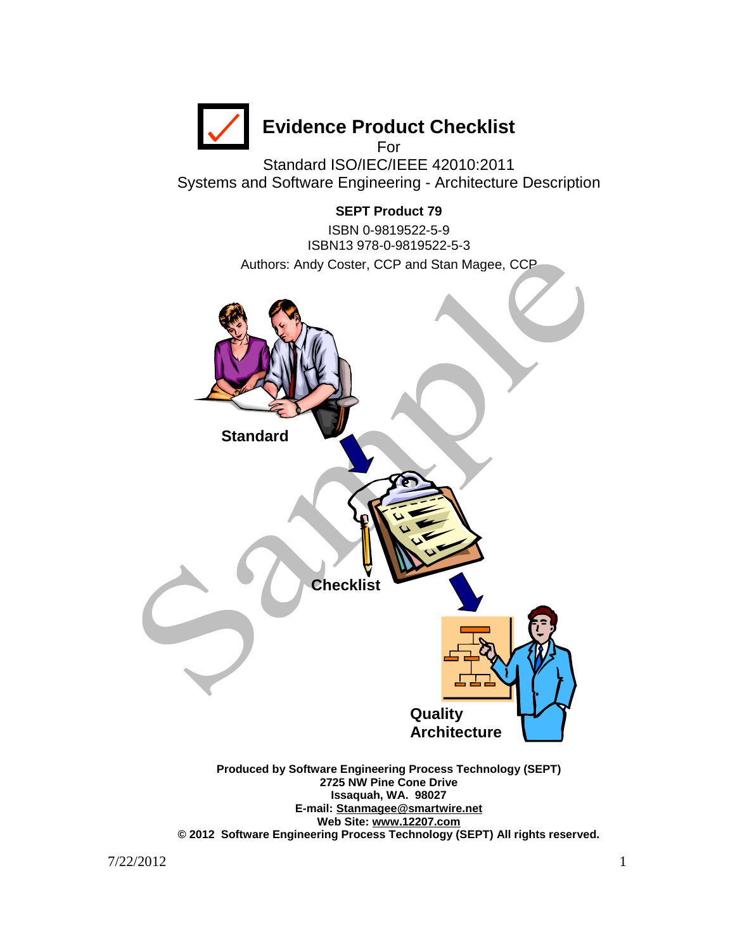

Standard ISO/IEC/IEEE 42010:2011 Systems and Software Engineering - Architecture Description

# **SEPT Product 79**  ISBN 0-9819522-5-9 ISBN13 978-0-9819522-5-3 Authors: Andy Coster, CCP and Stan Magee, CCP



**E-mail: [Stanmagee@smartwire.net](mailto:Stanmagee@smartwire.net) Web Site: [www.12207.com](http://www.12207.com) © 2012 Software Engineering Process Technology (SEPT) All rights reserved.** 

 $7/22/2012$  1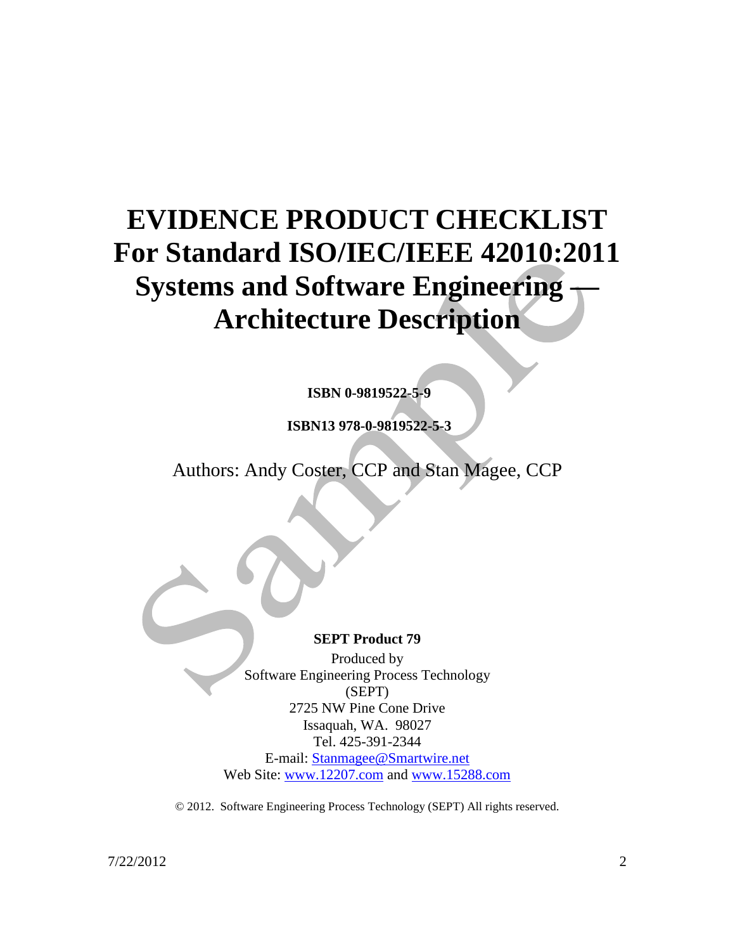# **EVIDENCE PRODUCT CHECKLIST For Standard ISO/IEC/IEEE 42010:2011 Systems and Software Engineering — Architecture Description**

**ISBN 0-9819522-5-9** 

**ISBN13 978-0-9819522-5-3** 

Authors: Andy Coster, CCP and Stan Magee, CCP

**SEPT Product 79** 

Produced by Software Engineering Process Technology (SEPT) 2725 NW Pine Cone Drive Issaquah, WA. 98027 Tel. 425-391-2344 E-mail: [Stanmagee@Smartwire.net](mailto:Stanmagee@Smartwire.net) Web Site: [www.12207.com](http://www.12207.com) and [www.15288.com](http://www.15288.com)

© 2012. Software Engineering Process Technology (SEPT) All rights reserved.

7/22/2012 2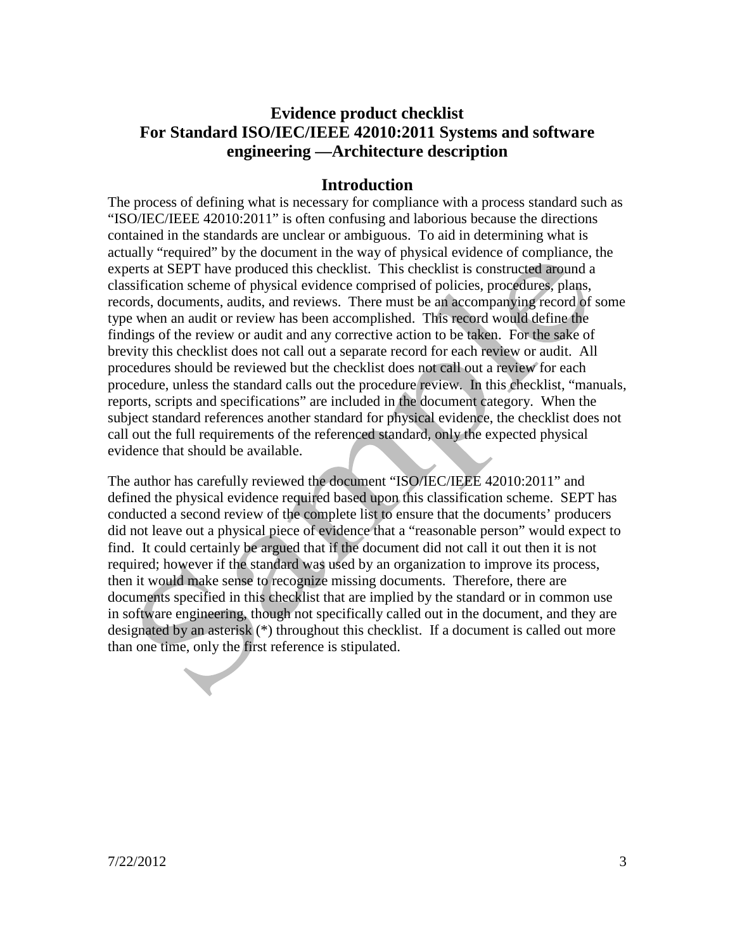# **Evidence product checklist For Standard ISO/IEC/IEEE 42010:2011 Systems and software engineering —Architecture description**

#### **Introduction**

The process of defining what is necessary for compliance with a process standard such as "ISO/IEC/IEEE 42010:2011" is often confusing and laborious because the directions contained in the standards are unclear or ambiguous. To aid in determining what is actually "required" by the document in the way of physical evidence of compliance, the experts at SEPT have produced this checklist. This checklist is constructed around a classification scheme of physical evidence comprised of policies, procedures, plans, records, documents, audits, and reviews. There must be an accompanying record of some type when an audit or review has been accomplished. This record would define the findings of the review or audit and any corrective action to be taken. For the sake of brevity this checklist does not call out a separate record for each review or audit. All procedures should be reviewed but the checklist does not call out a review for each procedure, unless the standard calls out the procedure review. In this checklist, "manuals, reports, scripts and specifications" are included in the document category. When the subject standard references another standard for physical evidence, the checklist does not call out the full requirements of the referenced standard, only the expected physical evidence that should be available.

The author has carefully reviewed the document "ISO/IEC/IEEE 42010:2011" and defined the physical evidence required based upon this classification scheme. SEPT has conducted a second review of the complete list to ensure that the documents' producers did not leave out a physical piece of evidence that a "reasonable person" would expect to find. It could certainly be argued that if the document did not call it out then it is not required; however if the standard was used by an organization to improve its process, then it would make sense to recognize missing documents. Therefore, there are documents specified in this checklist that are implied by the standard or in common use in software engineering, though not specifically called out in the document, and they are designated by an asterisk (\*) throughout this checklist. If a document is called out more than one time, only the first reference is stipulated.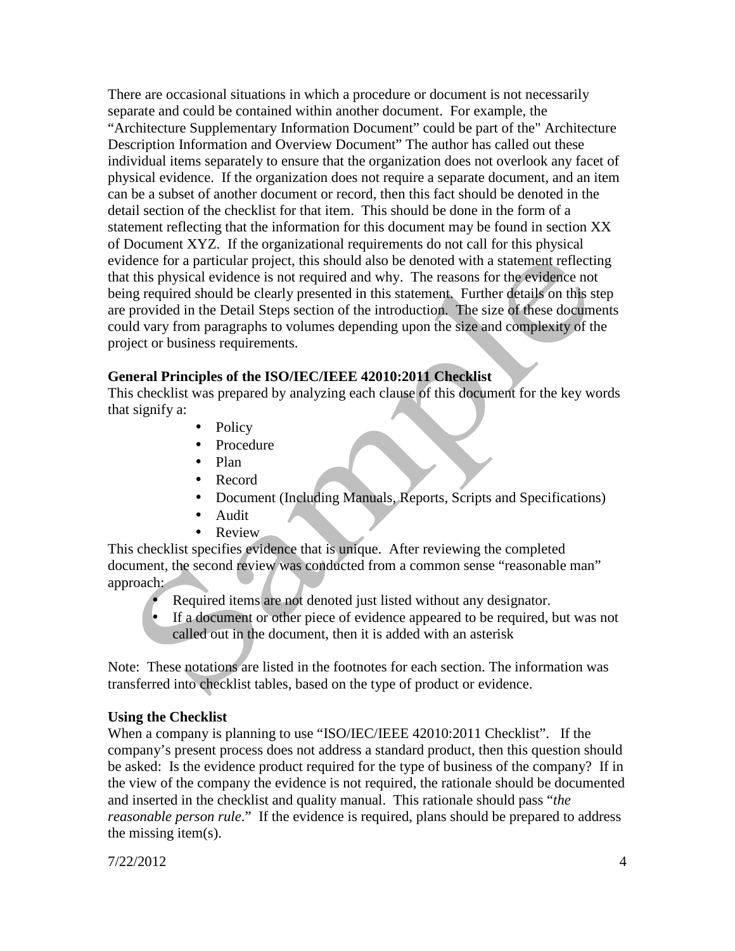There are occasional situations in which a procedure or document is not necessarily separate and could be contained within another document. For example, the "Architecture Supplementary Information Document" could be part of the" Architecture Description Information and Overview Document" The author has called out these individual items separately to ensure that the organization does not overlook any facet of physical evidence. If the organization does not require a separate document, and an item can be a subset of another document or record, then this fact should be denoted in the detail section of the checklist for that item. This should be done in the form of a statement reflecting that the information for this document may be found in section XX of Document XYZ. If the organizational requirements do not call for this physical evidence for a particular project, this should also be denoted with a statement reflecting that this physical evidence is not required and why. The reasons for the evidence not being required should be clearly presented in this statement. Further details on this step are provided in the Detail Steps section of the introduction. The size of these documents could vary from paragraphs to volumes depending upon the size and complexity of the project or business requirements.

#### **General Principles of the ISO/IEC/IEEE 42010:2011 Checklist**

This checklist was prepared by analyzing each clause of this document for the key words that signify a:

- Policy
- Procedure
- Plan
- Record
- Document (Including Manuals, Reports, Scripts and Specifications)
- Audit
- Review

This checklist specifies evidence that is unique. After reviewing the completed document, the second review was conducted from a common sense "reasonable man" approach:

- Required items are not denoted just listed without any designator.
- If a document or other piece of evidence appeared to be required, but was not called out in the document, then it is added with an asterisk

Note: These notations are listed in the footnotes for each section. The information was transferred into checklist tables, based on the type of product or evidence.

#### **Using the Checklist**

When a company is planning to use "ISO/IEC/IEEE 42010:2011 Checklist". If the company's present process does not address a standard product, then this question should be asked: Is the evidence product required for the type of business of the company? If in the view of the company the evidence is not required, the rationale should be documented and inserted in the checklist and quality manual. This rationale should pass "*the reasonable person rule.*" If the evidence is required, plans should be prepared to address the missing item(s).

7/22/2012 4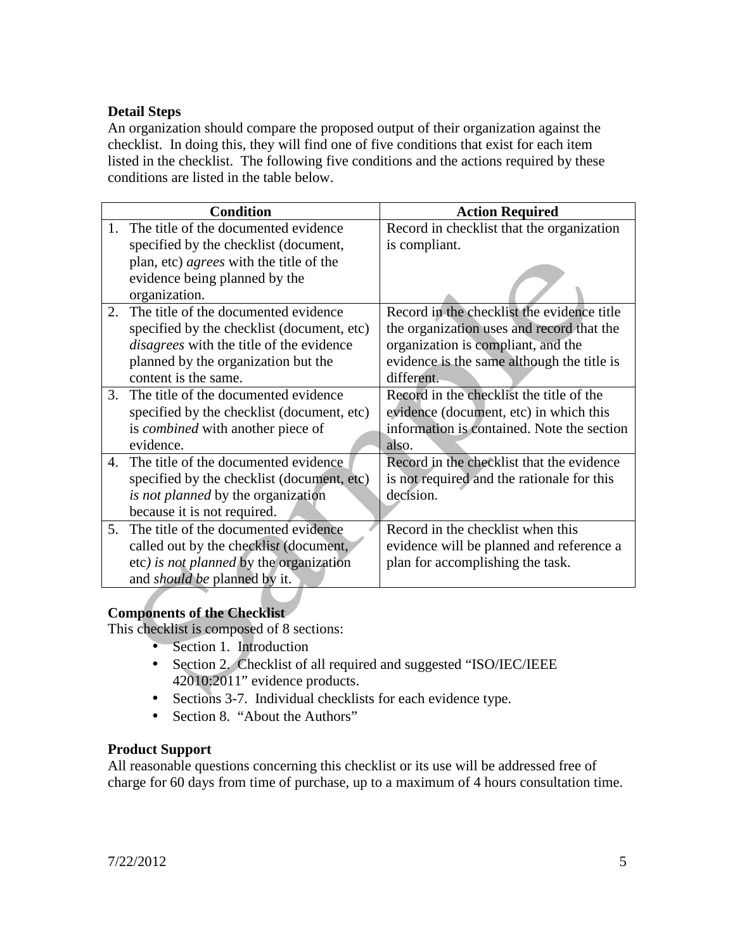## **Detail Steps**

An organization should compare the proposed output of their organization against the checklist. In doing this, they will find one of five conditions that exist for each item listed in the checklist. The following five conditions and the actions required by these conditions are listed in the table below.

|                        | <b>Condition</b>                                | <b>Action Required</b>                     |  |  |
|------------------------|-------------------------------------------------|--------------------------------------------|--|--|
| $\mathbf{1}_{\cdot}$   | The title of the documented evidence            | Record in checklist that the organization  |  |  |
|                        | specified by the checklist (document,           | is compliant.                              |  |  |
|                        | plan, etc) <i>agrees</i> with the title of the  |                                            |  |  |
|                        | evidence being planned by the                   |                                            |  |  |
|                        | organization.                                   |                                            |  |  |
| 2.                     | The title of the documented evidence            | Record in the checklist the evidence title |  |  |
|                        | specified by the checklist (document, etc)      | the organization uses and record that the  |  |  |
|                        | <i>disagrees</i> with the title of the evidence | organization is compliant, and the         |  |  |
|                        | planned by the organization but the             | evidence is the same although the title is |  |  |
|                        | content is the same.                            | different.                                 |  |  |
| $\mathcal{R}_{\alpha}$ | The title of the documented evidence            | Record in the checklist the title of the   |  |  |
|                        | specified by the checklist (document, etc)      | evidence (document, etc) in which this     |  |  |
|                        | is <i>combined</i> with another piece of        | information is contained. Note the section |  |  |
|                        | evidence.                                       | also.                                      |  |  |
| 4.                     | The title of the documented evidence            | Record in the checklist that the evidence  |  |  |
|                        | specified by the checklist (document, etc)      | is not required and the rationale for this |  |  |
|                        | <i>is not planned</i> by the organization       | decision.                                  |  |  |
|                        | because it is not required.                     |                                            |  |  |
| 5 <sub>1</sub>         | The title of the documented evidence            | Record in the checklist when this          |  |  |
|                        | called out by the checklist (document,          | evidence will be planned and reference a   |  |  |
|                        | etc) is not planned by the organization         | plan for accomplishing the task.           |  |  |
|                        | and <i>should be</i> planned by it.             |                                            |  |  |

#### **Components of the Checklist**

This checklist is composed of 8 sections:

- Section 1. Introduction
- Section 2. Checklist of all required and suggested "ISO/IEC/IEEE 42010:2011" evidence products.
- Sections 3-7. Individual checklists for each evidence type.
- Section 8. "About the Authors"

#### **Product Support**

All reasonable questions concerning this checklist or its use will be addressed free of charge for 60 days from time of purchase, up to a maximum of 4 hours consultation time.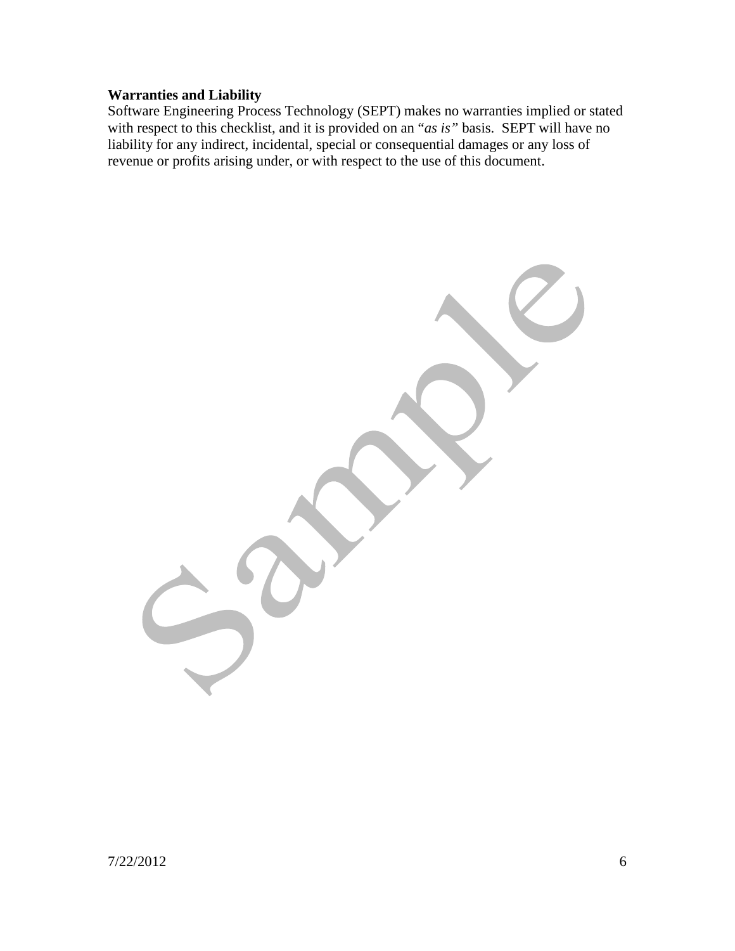## **Warranties and Liability**

Software Engineering Process Technology (SEPT) makes no warranties implied or stated with respect to this checklist, and it is provided on an "*as is"* basis. SEPT will have no liability for any indirect, incidental, special or consequential damages or any loss of revenue or profits arising under, or with respect to the use of this document.